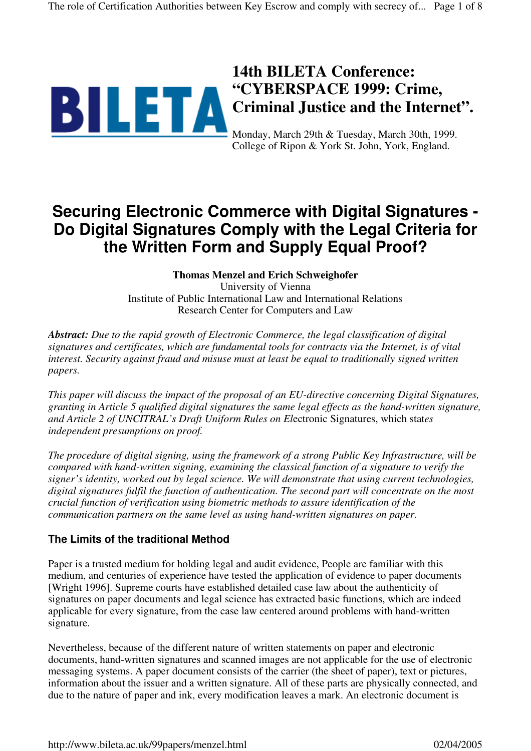

## **14th BILETA Conference: "CYBERSPACE 1999: Crime, Criminal Justice and the Internet".**

Monday, March 29th & Tuesday, March 30th, 1999. College of Ripon & York St. John, York, England.

# **Securing Electronic Commerce with Digital Signatures - Do Digital Signatures Comply with the Legal Criteria for the Written Form and Supply Equal Proof?**

## **Thomas Menzel and Erich Schweighofer**

University of Vienna Institute of Public International Law and International Relations Research Center for Computers and Law

*Abstract: Due to the rapid growth of Electronic Commerce, the legal classification of digital signatures and certificates, which are fundamental tools for contracts via the Internet, is of vital interest. Security against fraud and misuse must at least be equal to traditionally signed written papers.*

*This paper will discuss the impact of the proposal of an EU-directive concerning Digital Signatures, granting in Article 5 qualified digital signatures the same legal effects as the hand-written signature, and Article 2 of UNCITRAL's Draft Uniform Rules on El*ectronic Signatures, which stat*es independent presumptions on proof.*

*The procedure of digital signing, using the framework of a strong Public Key Infrastructure, will be compared with hand-written signing, examining the classical function of a signature to verify the signer's identity, worked out by legal science. We will demonstrate that using current technologies, digital signatures fulfil the function of authentication. The second part will concentrate on the most crucial function of verification using biometric methods to assure identification of the communication partners on the same level as using hand-written signatures on paper.*

## **The Limits of the traditional Method**

Paper is a trusted medium for holding legal and audit evidence, People are familiar with this medium, and centuries of experience have tested the application of evidence to paper documents [Wright 1996]. Supreme courts have established detailed case law about the authenticity of signatures on paper documents and legal science has extracted basic functions, which are indeed applicable for every signature, from the case law centered around problems with hand-written signature.

Nevertheless, because of the different nature of written statements on paper and electronic documents, hand-written signatures and scanned images are not applicable for the use of electronic messaging systems. A paper document consists of the carrier (the sheet of paper), text or pictures, information about the issuer and a written signature. All of these parts are physically connected, and due to the nature of paper and ink, every modification leaves a mark. An electronic document is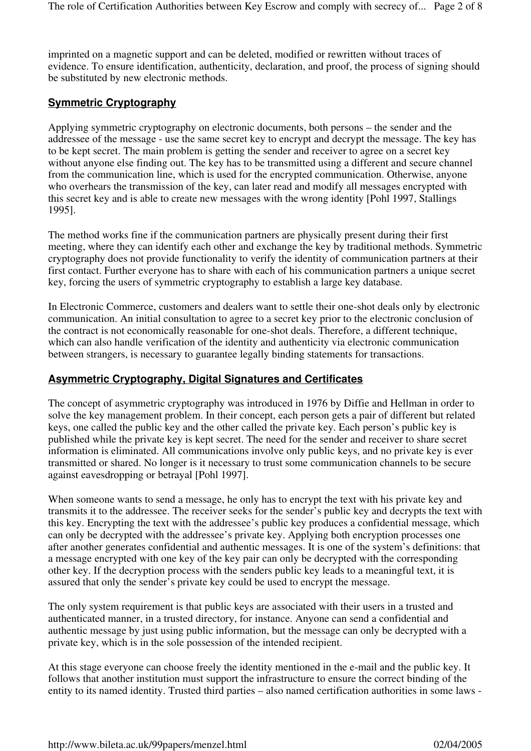imprinted on a magnetic support and can be deleted, modified or rewritten without traces of evidence. To ensure identification, authenticity, declaration, and proof, the process of signing should be substituted by new electronic methods.

## **Symmetric Cryptography**

Applying symmetric cryptography on electronic documents, both persons – the sender and the addressee of the message - use the same secret key to encrypt and decrypt the message. The key has to be kept secret. The main problem is getting the sender and receiver to agree on a secret key without anyone else finding out. The key has to be transmitted using a different and secure channel from the communication line, which is used for the encrypted communication. Otherwise, anyone who overhears the transmission of the key, can later read and modify all messages encrypted with this secret key and is able to create new messages with the wrong identity [Pohl 1997, Stallings 1995].

The method works fine if the communication partners are physically present during their first meeting, where they can identify each other and exchange the key by traditional methods. Symmetric cryptography does not provide functionality to verify the identity of communication partners at their first contact. Further everyone has to share with each of his communication partners a unique secret key, forcing the users of symmetric cryptography to establish a large key database.

In Electronic Commerce, customers and dealers want to settle their one-shot deals only by electronic communication. An initial consultation to agree to a secret key prior to the electronic conclusion of the contract is not economically reasonable for one-shot deals. Therefore, a different technique, which can also handle verification of the identity and authenticity via electronic communication between strangers, is necessary to guarantee legally binding statements for transactions.

#### **Asymmetric Cryptography, Digital Signatures and Certificates**

The concept of asymmetric cryptography was introduced in 1976 by Diffie and Hellman in order to solve the key management problem. In their concept, each person gets a pair of different but related keys, one called the public key and the other called the private key. Each person's public key is published while the private key is kept secret. The need for the sender and receiver to share secret information is eliminated. All communications involve only public keys, and no private key is ever transmitted or shared. No longer is it necessary to trust some communication channels to be secure against eavesdropping or betrayal [Pohl 1997].

When someone wants to send a message, he only has to encrypt the text with his private key and transmits it to the addressee. The receiver seeks for the sender's public key and decrypts the text with this key. Encrypting the text with the addressee's public key produces a confidential message, which can only be decrypted with the addressee's private key. Applying both encryption processes one after another generates confidential and authentic messages. It is one of the system's definitions: that a message encrypted with one key of the key pair can only be decrypted with the corresponding other key. If the decryption process with the senders public key leads to a meaningful text, it is assured that only the sender's private key could be used to encrypt the message.

The only system requirement is that public keys are associated with their users in a trusted and authenticated manner, in a trusted directory, for instance. Anyone can send a confidential and authentic message by just using public information, but the message can only be decrypted with a private key, which is in the sole possession of the intended recipient.

At this stage everyone can choose freely the identity mentioned in the e-mail and the public key. It follows that another institution must support the infrastructure to ensure the correct binding of the entity to its named identity. Trusted third parties – also named certification authorities in some laws -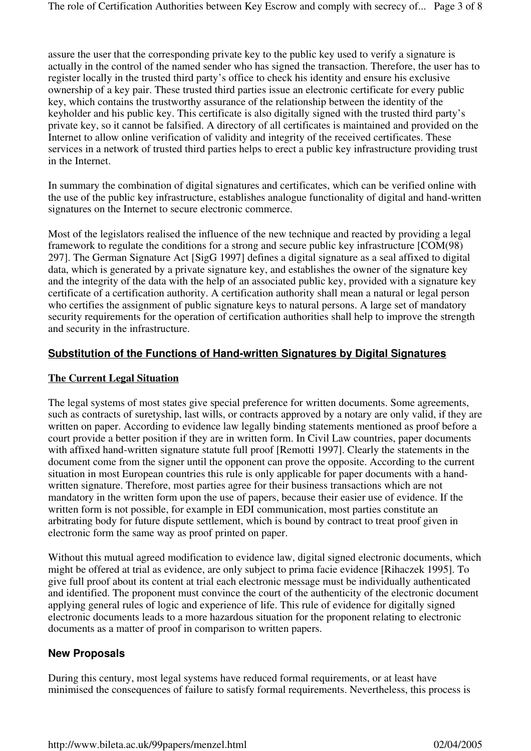assure the user that the corresponding private key to the public key used to verify a signature is actually in the control of the named sender who has signed the transaction. Therefore, the user has to register locally in the trusted third party's office to check his identity and ensure his exclusive ownership of a key pair. These trusted third parties issue an electronic certificate for every public key, which contains the trustworthy assurance of the relationship between the identity of the keyholder and his public key. This certificate is also digitally signed with the trusted third party's private key, so it cannot be falsified. A directory of all certificates is maintained and provided on the Internet to allow online verification of validity and integrity of the received certificates. These services in a network of trusted third parties helps to erect a public key infrastructure providing trust in the Internet.

In summary the combination of digital signatures and certificates, which can be verified online with the use of the public key infrastructure, establishes analogue functionality of digital and hand-written signatures on the Internet to secure electronic commerce.

Most of the legislators realised the influence of the new technique and reacted by providing a legal framework to regulate the conditions for a strong and secure public key infrastructure [COM(98) 297]. The German Signature Act [SigG 1997] defines a digital signature as a seal affixed to digital data, which is generated by a private signature key, and establishes the owner of the signature key and the integrity of the data with the help of an associated public key, provided with a signature key certificate of a certification authority. A certification authority shall mean a natural or legal person who certifies the assignment of public signature keys to natural persons. A large set of mandatory security requirements for the operation of certification authorities shall help to improve the strength and security in the infrastructure.

## **Substitution of the Functions of Hand-written Signatures by Digital Signatures**

#### **The Current Legal Situation**

The legal systems of most states give special preference for written documents. Some agreements, such as contracts of suretyship, last wills, or contracts approved by a notary are only valid, if they are written on paper. According to evidence law legally binding statements mentioned as proof before a court provide a better position if they are in written form. In Civil Law countries, paper documents with affixed hand-written signature statute full proof [Remotti 1997]. Clearly the statements in the document come from the signer until the opponent can prove the opposite. According to the current situation in most European countries this rule is only applicable for paper documents with a handwritten signature. Therefore, most parties agree for their business transactions which are not mandatory in the written form upon the use of papers, because their easier use of evidence. If the written form is not possible, for example in EDI communication, most parties constitute an arbitrating body for future dispute settlement, which is bound by contract to treat proof given in electronic form the same way as proof printed on paper.

Without this mutual agreed modification to evidence law, digital signed electronic documents, which might be offered at trial as evidence, are only subject to prima facie evidence [Rihaczek 1995]. To give full proof about its content at trial each electronic message must be individually authenticated and identified. The proponent must convince the court of the authenticity of the electronic document applying general rules of logic and experience of life. This rule of evidence for digitally signed electronic documents leads to a more hazardous situation for the proponent relating to electronic documents as a matter of proof in comparison to written papers.

#### **New Proposals**

During this century, most legal systems have reduced formal requirements, or at least have minimised the consequences of failure to satisfy formal requirements. Nevertheless, this process is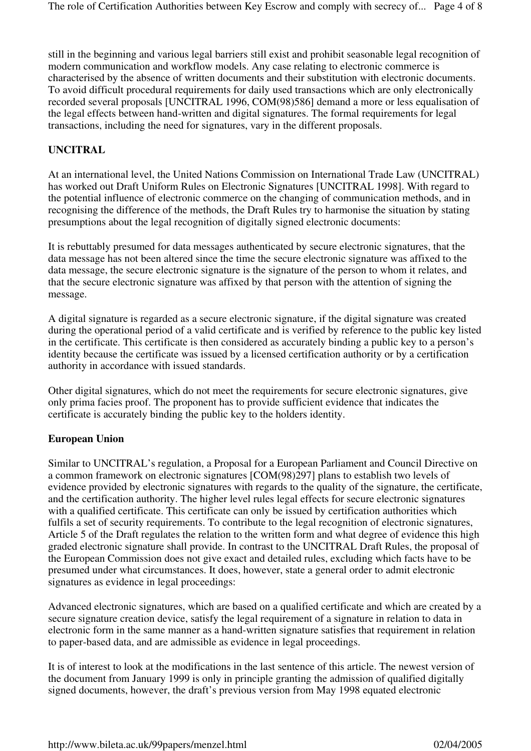still in the beginning and various legal barriers still exist and prohibit seasonable legal recognition of modern communication and workflow models. Any case relating to electronic commerce is characterised by the absence of written documents and their substitution with electronic documents. To avoid difficult procedural requirements for daily used transactions which are only electronically recorded several proposals [UNCITRAL 1996, COM(98)586] demand a more or less equalisation of the legal effects between hand-written and digital signatures. The formal requirements for legal transactions, including the need for signatures, vary in the different proposals.

#### **UNCITRAL**

At an international level, the United Nations Commission on International Trade Law (UNCITRAL) has worked out Draft Uniform Rules on Electronic Signatures [UNCITRAL 1998]. With regard to the potential influence of electronic commerce on the changing of communication methods, and in recognising the difference of the methods, the Draft Rules try to harmonise the situation by stating presumptions about the legal recognition of digitally signed electronic documents:

It is rebuttably presumed for data messages authenticated by secure electronic signatures, that the data message has not been altered since the time the secure electronic signature was affixed to the data message, the secure electronic signature is the signature of the person to whom it relates, and that the secure electronic signature was affixed by that person with the attention of signing the message.

A digital signature is regarded as a secure electronic signature, if the digital signature was created during the operational period of a valid certificate and is verified by reference to the public key listed in the certificate. This certificate is then considered as accurately binding a public key to a person's identity because the certificate was issued by a licensed certification authority or by a certification authority in accordance with issued standards.

Other digital signatures, which do not meet the requirements for secure electronic signatures, give only prima facies proof. The proponent has to provide sufficient evidence that indicates the certificate is accurately binding the public key to the holders identity.

#### **European Union**

Similar to UNCITRAL's regulation, a Proposal for a European Parliament and Council Directive on a common framework on electronic signatures [COM(98)297] plans to establish two levels of evidence provided by electronic signatures with regards to the quality of the signature, the certificate, and the certification authority. The higher level rules legal effects for secure electronic signatures with a qualified certificate. This certificate can only be issued by certification authorities which fulfils a set of security requirements. To contribute to the legal recognition of electronic signatures, Article 5 of the Draft regulates the relation to the written form and what degree of evidence this high graded electronic signature shall provide. In contrast to the UNCITRAL Draft Rules, the proposal of the European Commission does not give exact and detailed rules, excluding which facts have to be presumed under what circumstances. It does, however, state a general order to admit electronic signatures as evidence in legal proceedings:

Advanced electronic signatures, which are based on a qualified certificate and which are created by a secure signature creation device, satisfy the legal requirement of a signature in relation to data in electronic form in the same manner as a hand-written signature satisfies that requirement in relation to paper-based data, and are admissible as evidence in legal proceedings.

It is of interest to look at the modifications in the last sentence of this article. The newest version of the document from January 1999 is only in principle granting the admission of qualified digitally signed documents, however, the draft's previous version from May 1998 equated electronic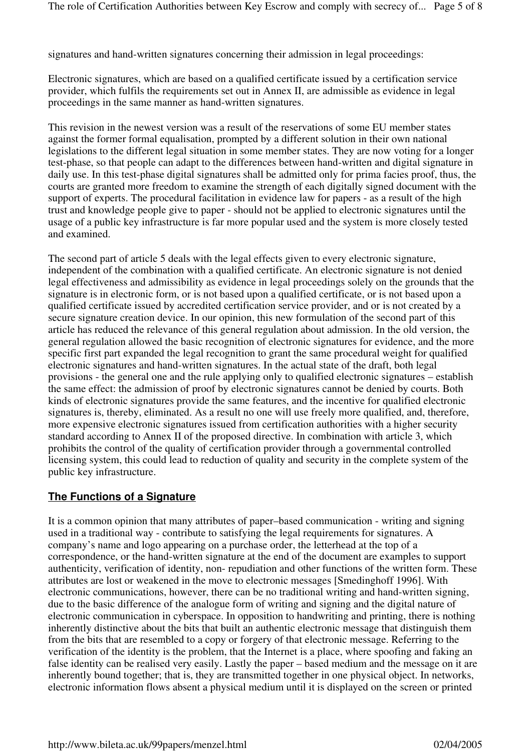signatures and hand-written signatures concerning their admission in legal proceedings:

Electronic signatures, which are based on a qualified certificate issued by a certification service provider, which fulfils the requirements set out in Annex II, are admissible as evidence in legal proceedings in the same manner as hand-written signatures.

This revision in the newest version was a result of the reservations of some EU member states against the former formal equalisation, prompted by a different solution in their own national legislations to the different legal situation in some member states. They are now voting for a longer test-phase, so that people can adapt to the differences between hand-written and digital signature in daily use. In this test-phase digital signatures shall be admitted only for prima facies proof, thus, the courts are granted more freedom to examine the strength of each digitally signed document with the support of experts. The procedural facilitation in evidence law for papers - as a result of the high trust and knowledge people give to paper - should not be applied to electronic signatures until the usage of a public key infrastructure is far more popular used and the system is more closely tested and examined.

The second part of article 5 deals with the legal effects given to every electronic signature, independent of the combination with a qualified certificate. An electronic signature is not denied legal effectiveness and admissibility as evidence in legal proceedings solely on the grounds that the signature is in electronic form, or is not based upon a qualified certificate, or is not based upon a qualified certificate issued by accredited certification service provider, and or is not created by a secure signature creation device. In our opinion, this new formulation of the second part of this article has reduced the relevance of this general regulation about admission. In the old version, the general regulation allowed the basic recognition of electronic signatures for evidence, and the more specific first part expanded the legal recognition to grant the same procedural weight for qualified electronic signatures and hand-written signatures. In the actual state of the draft, both legal provisions - the general one and the rule applying only to qualified electronic signatures – establish the same effect: the admission of proof by electronic signatures cannot be denied by courts. Both kinds of electronic signatures provide the same features, and the incentive for qualified electronic signatures is, thereby, eliminated. As a result no one will use freely more qualified, and, therefore, more expensive electronic signatures issued from certification authorities with a higher security standard according to Annex II of the proposed directive. In combination with article 3, which prohibits the control of the quality of certification provider through a governmental controlled licensing system, this could lead to reduction of quality and security in the complete system of the public key infrastructure.

## **The Functions of a Signature**

It is a common opinion that many attributes of paper–based communication - writing and signing used in a traditional way - contribute to satisfying the legal requirements for signatures. A company's name and logo appearing on a purchase order, the letterhead at the top of a correspondence, or the hand-written signature at the end of the document are examples to support authenticity, verification of identity, non- repudiation and other functions of the written form. These attributes are lost or weakened in the move to electronic messages [Smedinghoff 1996]. With electronic communications, however, there can be no traditional writing and hand-written signing, due to the basic difference of the analogue form of writing and signing and the digital nature of electronic communication in cyberspace. In opposition to handwriting and printing, there is nothing inherently distinctive about the bits that built an authentic electronic message that distinguish them from the bits that are resembled to a copy or forgery of that electronic message. Referring to the verification of the identity is the problem, that the Internet is a place, where spoofing and faking an false identity can be realised very easily. Lastly the paper – based medium and the message on it are inherently bound together; that is, they are transmitted together in one physical object. In networks, electronic information flows absent a physical medium until it is displayed on the screen or printed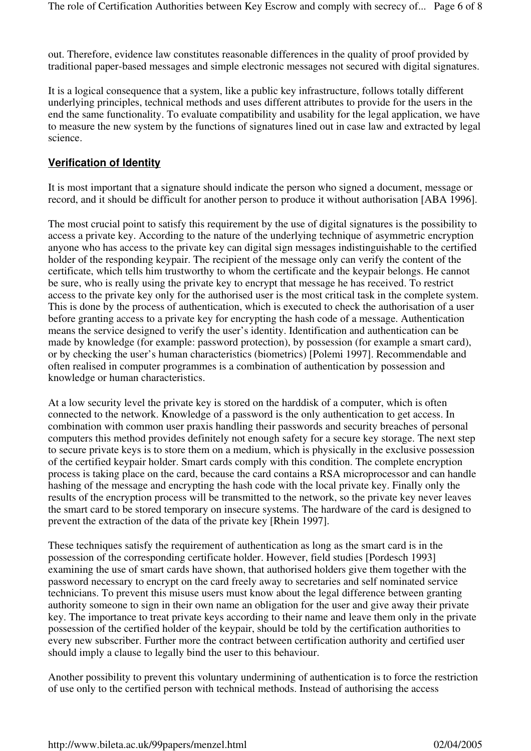out. Therefore, evidence law constitutes reasonable differences in the quality of proof provided by traditional paper-based messages and simple electronic messages not secured with digital signatures.

It is a logical consequence that a system, like a public key infrastructure, follows totally different underlying principles, technical methods and uses different attributes to provide for the users in the end the same functionality. To evaluate compatibility and usability for the legal application, we have to measure the new system by the functions of signatures lined out in case law and extracted by legal science.

## **Verification of Identity**

It is most important that a signature should indicate the person who signed a document, message or record, and it should be difficult for another person to produce it without authorisation [ABA 1996].

The most crucial point to satisfy this requirement by the use of digital signatures is the possibility to access a private key. According to the nature of the underlying technique of asymmetric encryption anyone who has access to the private key can digital sign messages indistinguishable to the certified holder of the responding keypair. The recipient of the message only can verify the content of the certificate, which tells him trustworthy to whom the certificate and the keypair belongs. He cannot be sure, who is really using the private key to encrypt that message he has received. To restrict access to the private key only for the authorised user is the most critical task in the complete system. This is done by the process of authentication, which is executed to check the authorisation of a user before granting access to a private key for encrypting the hash code of a message. Authentication means the service designed to verify the user's identity. Identification and authentication can be made by knowledge (for example: password protection), by possession (for example a smart card), or by checking the user's human characteristics (biometrics) [Polemi 1997]. Recommendable and often realised in computer programmes is a combination of authentication by possession and knowledge or human characteristics.

At a low security level the private key is stored on the harddisk of a computer, which is often connected to the network. Knowledge of a password is the only authentication to get access. In combination with common user praxis handling their passwords and security breaches of personal computers this method provides definitely not enough safety for a secure key storage. The next step to secure private keys is to store them on a medium, which is physically in the exclusive possession of the certified keypair holder. Smart cards comply with this condition. The complete encryption process is taking place on the card, because the card contains a RSA microprocessor and can handle hashing of the message and encrypting the hash code with the local private key. Finally only the results of the encryption process will be transmitted to the network, so the private key never leaves the smart card to be stored temporary on insecure systems. The hardware of the card is designed to prevent the extraction of the data of the private key [Rhein 1997].

These techniques satisfy the requirement of authentication as long as the smart card is in the possession of the corresponding certificate holder. However, field studies [Pordesch 1993] examining the use of smart cards have shown, that authorised holders give them together with the password necessary to encrypt on the card freely away to secretaries and self nominated service technicians. To prevent this misuse users must know about the legal difference between granting authority someone to sign in their own name an obligation for the user and give away their private key. The importance to treat private keys according to their name and leave them only in the private possession of the certified holder of the keypair, should be told by the certification authorities to every new subscriber. Further more the contract between certification authority and certified user should imply a clause to legally bind the user to this behaviour.

Another possibility to prevent this voluntary undermining of authentication is to force the restriction of use only to the certified person with technical methods. Instead of authorising the access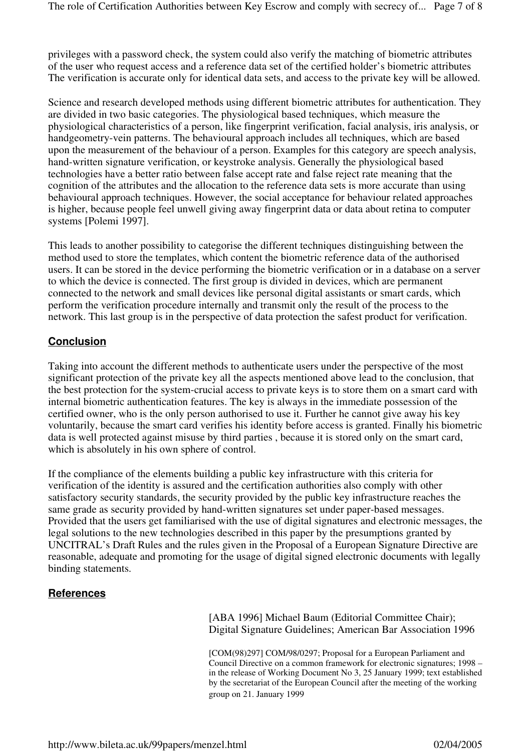privileges with a password check, the system could also verify the matching of biometric attributes of the user who request access and a reference data set of the certified holder's biometric attributes The verification is accurate only for identical data sets, and access to the private key will be allowed.

Science and research developed methods using different biometric attributes for authentication. They are divided in two basic categories. The physiological based techniques, which measure the physiological characteristics of a person, like fingerprint verification, facial analysis, iris analysis, or handgeometry-vein patterns. The behavioural approach includes all techniques, which are based upon the measurement of the behaviour of a person. Examples for this category are speech analysis, hand-written signature verification, or keystroke analysis. Generally the physiological based technologies have a better ratio between false accept rate and false reject rate meaning that the cognition of the attributes and the allocation to the reference data sets is more accurate than using behavioural approach techniques. However, the social acceptance for behaviour related approaches is higher, because people feel unwell giving away fingerprint data or data about retina to computer systems [Polemi 1997].

This leads to another possibility to categorise the different techniques distinguishing between the method used to store the templates, which content the biometric reference data of the authorised users. It can be stored in the device performing the biometric verification or in a database on a server to which the device is connected. The first group is divided in devices, which are permanent connected to the network and small devices like personal digital assistants or smart cards, which perform the verification procedure internally and transmit only the result of the process to the network. This last group is in the perspective of data protection the safest product for verification.

## **Conclusion**

Taking into account the different methods to authenticate users under the perspective of the most significant protection of the private key all the aspects mentioned above lead to the conclusion, that the best protection for the system-crucial access to private keys is to store them on a smart card with internal biometric authentication features. The key is always in the immediate possession of the certified owner, who is the only person authorised to use it. Further he cannot give away his key voluntarily, because the smart card verifies his identity before access is granted. Finally his biometric data is well protected against misuse by third parties , because it is stored only on the smart card, which is absolutely in his own sphere of control.

If the compliance of the elements building a public key infrastructure with this criteria for verification of the identity is assured and the certification authorities also comply with other satisfactory security standards, the security provided by the public key infrastructure reaches the same grade as security provided by hand-written signatures set under paper-based messages. Provided that the users get familiarised with the use of digital signatures and electronic messages, the legal solutions to the new technologies described in this paper by the presumptions granted by UNCITRAL's Draft Rules and the rules given in the Proposal of a European Signature Directive are reasonable, adequate and promoting for the usage of digital signed electronic documents with legally binding statements.

## **References**

[ABA 1996] Michael Baum (Editorial Committee Chair); Digital Signature Guidelines; American Bar Association 1996

[COM(98)297] COM/98/0297; Proposal for a European Parliament and Council Directive on a common framework for electronic signatures; 1998 – in the release of Working Document No 3, 25 January 1999; text established by the secretariat of the European Council after the meeting of the working group on 21. January 1999